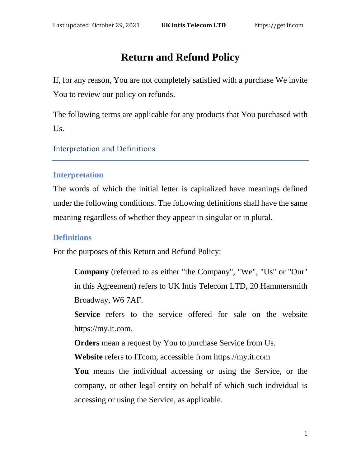# **Return and Refund Policy**

If, for any reason, You are not completely satisfied with a purchase We invite You to review our policy on refunds.

The following terms are applicable for any products that You purchased with Us.

Interpretation and Definitions

#### **Interpretation**

The words of which the initial letter is capitalized have meanings defined under the following conditions. The following definitions shall have the same meaning regardless of whether they appear in singular or in plural.

### **Definitions**

For the purposes of this Return and Refund Policy:

**Company** (referred to as either "the Company", "We", "Us" or "Our" in this Agreement) refers to UK Intis Telecom LTD, 20 Hammersmith Broadway, W6 7AF.

Service refers to the service offered for sale on the website https://my.it.com.

**Orders** mean a request by You to purchase Service from Us.

**Website** refers to ITcom, accessible from [https://my.it.com](https://my.it.com/)

**You** means the individual accessing or using the Service, or the company, or other legal entity on behalf of which such individual is accessing or using the Service, as applicable.